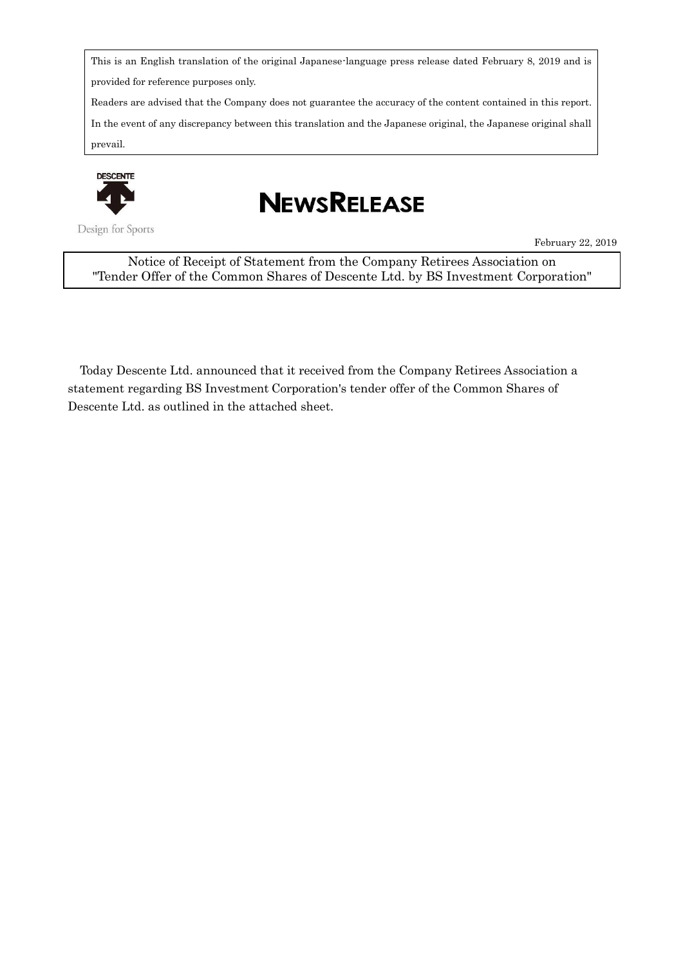This is an English translation of the original Japanese-language press release dated February 8, 2019 and is provided for reference purposes only.

Readers are advised that the Company does not guarantee the accuracy of the content contained in this report.

In the event of any discrepancy between this translation and the Japanese original, the Japanese original shall prevail.



Design for Sports

## **NEWSRELEASE**

February 22, 2019

Notice of Receipt of Statement from the Company Retirees Association on "Tender Offer of the Common Shares of Descente Ltd. by BS Investment Corporation"

Today Descente Ltd. announced that it received from the Company Retirees Association a statement regarding BS Investment Corporation's tender offer of the Common Shares of Descente Ltd. as outlined in the attached sheet.